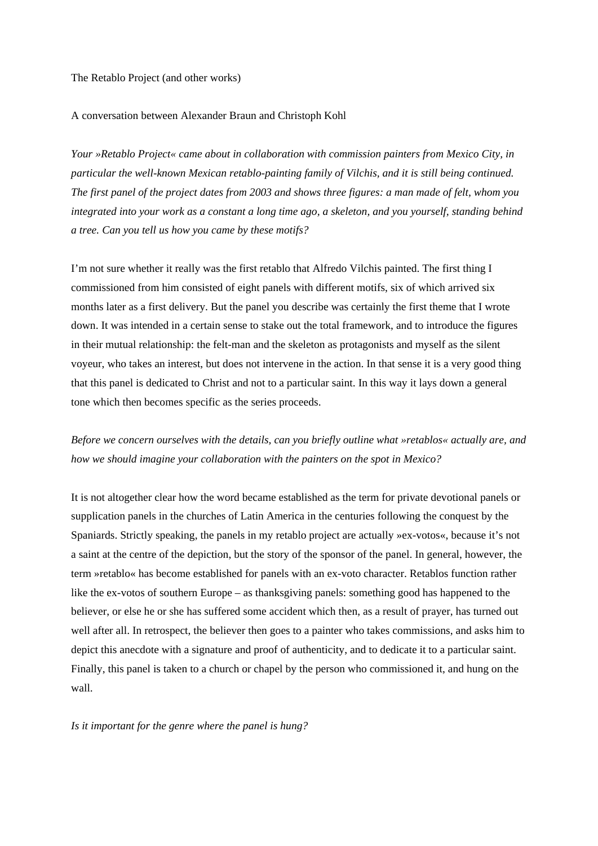### The Retablo Project (and other works)

## A conversation between Alexander Braun and Christoph Kohl

*Your »Retablo Project« came about in collaboration with commission painters from Mexico City, in particular the well-known Mexican retablo-painting family of Vilchis, and it is still being continued. The first panel of the project dates from 2003 and shows three figures: a man made of felt, whom you integrated into your work as a constant a long time ago, a skeleton, and you yourself, standing behind a tree. Can you tell us how you came by these motifs?* 

I'm not sure whether it really was the first retablo that Alfredo Vilchis painted. The first thing I commissioned from him consisted of eight panels with different motifs, six of which arrived six months later as a first delivery. But the panel you describe was certainly the first theme that I wrote down. It was intended in a certain sense to stake out the total framework, and to introduce the figures in their mutual relationship: the felt-man and the skeleton as protagonists and myself as the silent voyeur, who takes an interest, but does not intervene in the action. In that sense it is a very good thing that this panel is dedicated to Christ and not to a particular saint. In this way it lays down a general tone which then becomes specific as the series proceeds.

*Before we concern ourselves with the details, can you briefly outline what »retablos« actually are, and how we should imagine your collaboration with the painters on the spot in Mexico?* 

It is not altogether clear how the word became established as the term for private devotional panels or supplication panels in the churches of Latin America in the centuries following the conquest by the Spaniards. Strictly speaking, the panels in my retablo project are actually »ex-votos«, because it's not a saint at the centre of the depiction, but the story of the sponsor of the panel. In general, however, the term »retablo« has become established for panels with an ex-voto character. Retablos function rather like the ex-votos of southern Europe – as thanksgiving panels: something good has happened to the believer, or else he or she has suffered some accident which then, as a result of prayer, has turned out well after all. In retrospect, the believer then goes to a painter who takes commissions, and asks him to depict this anecdote with a signature and proof of authenticity, and to dedicate it to a particular saint. Finally, this panel is taken to a church or chapel by the person who commissioned it, and hung on the wall.

*Is it important for the genre where the panel is hung?*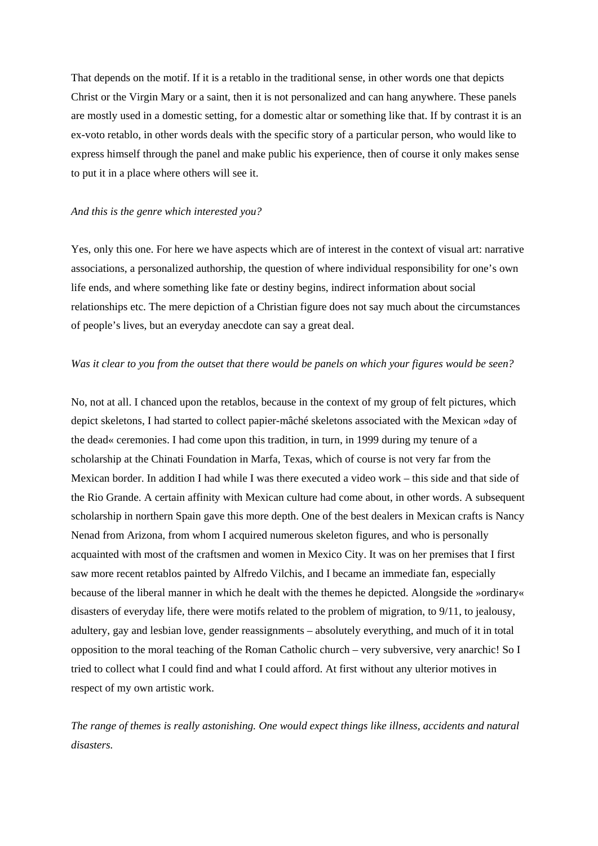That depends on the motif. If it is a retablo in the traditional sense, in other words one that depicts Christ or the Virgin Mary or a saint, then it is not personalized and can hang anywhere. These panels are mostly used in a domestic setting, for a domestic altar or something like that. If by contrast it is an ex-voto retablo, in other words deals with the specific story of a particular person, who would like to express himself through the panel and make public his experience, then of course it only makes sense to put it in a place where others will see it.

## *And this is the genre which interested you?*

Yes, only this one. For here we have aspects which are of interest in the context of visual art: narrative associations, a personalized authorship, the question of where individual responsibility for one's own life ends, and where something like fate or destiny begins, indirect information about social relationships etc. The mere depiction of a Christian figure does not say much about the circumstances of people's lives, but an everyday anecdote can say a great deal.

### *Was it clear to you from the outset that there would be panels on which your figures would be seen?*

No, not at all. I chanced upon the retablos, because in the context of my group of felt pictures, which depict skeletons, I had started to collect papier-mâché skeletons associated with the Mexican »day of the dead« ceremonies. I had come upon this tradition, in turn, in 1999 during my tenure of a scholarship at the Chinati Foundation in Marfa, Texas, which of course is not very far from the Mexican border. In addition I had while I was there executed a video work – this side and that side of the Rio Grande. A certain affinity with Mexican culture had come about, in other words. A subsequent scholarship in northern Spain gave this more depth. One of the best dealers in Mexican crafts is Nancy Nenad from Arizona, from whom I acquired numerous skeleton figures, and who is personally acquainted with most of the craftsmen and women in Mexico City. It was on her premises that I first saw more recent retablos painted by Alfredo Vilchis, and I became an immediate fan, especially because of the liberal manner in which he dealt with the themes he depicted. Alongside the »ordinary« disasters of everyday life, there were motifs related to the problem of migration, to 9/11, to jealousy, adultery, gay and lesbian love, gender reassignments – absolutely everything, and much of it in total opposition to the moral teaching of the Roman Catholic church – very subversive, very anarchic! So I tried to collect what I could find and what I could afford. At first without any ulterior motives in respect of my own artistic work.

*The range of themes is really astonishing. One would expect things like illness, accidents and natural disasters.*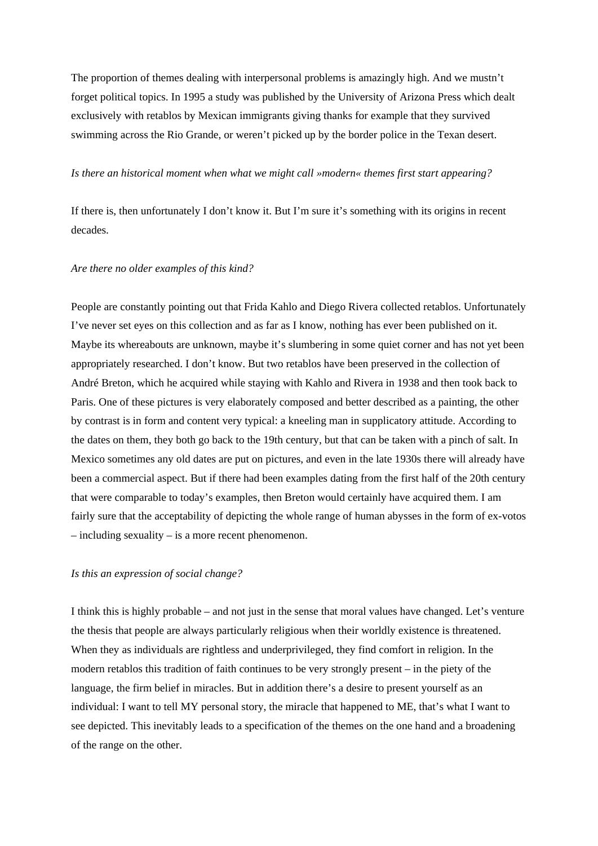The proportion of themes dealing with interpersonal problems is amazingly high. And we mustn't forget political topics. In 1995 a study was published by the University of Arizona Press which dealt exclusively with retablos by Mexican immigrants giving thanks for example that they survived swimming across the Rio Grande, or weren't picked up by the border police in the Texan desert.

## *Is there an historical moment when what we might call »modern« themes first start appearing?*

If there is, then unfortunately I don't know it. But I'm sure it's something with its origins in recent decades.

### *Are there no older examples of this kind?*

People are constantly pointing out that Frida Kahlo and Diego Rivera collected retablos. Unfortunately I've never set eyes on this collection and as far as I know, nothing has ever been published on it. Maybe its whereabouts are unknown, maybe it's slumbering in some quiet corner and has not yet been appropriately researched. I don't know. But two retablos have been preserved in the collection of André Breton, which he acquired while staying with Kahlo and Rivera in 1938 and then took back to Paris. One of these pictures is very elaborately composed and better described as a painting, the other by contrast is in form and content very typical: a kneeling man in supplicatory attitude. According to the dates on them, they both go back to the 19th century, but that can be taken with a pinch of salt. In Mexico sometimes any old dates are put on pictures, and even in the late 1930s there will already have been a commercial aspect. But if there had been examples dating from the first half of the 20th century that were comparable to today's examples, then Breton would certainly have acquired them. I am fairly sure that the acceptability of depicting the whole range of human abysses in the form of ex-votos – including sexuality – is a more recent phenomenon.

### *Is this an expression of social change?*

I think this is highly probable – and not just in the sense that moral values have changed. Let's venture the thesis that people are always particularly religious when their worldly existence is threatened. When they as individuals are rightless and underprivileged, they find comfort in religion. In the modern retablos this tradition of faith continues to be very strongly present – in the piety of the language, the firm belief in miracles. But in addition there's a desire to present yourself as an individual: I want to tell MY personal story, the miracle that happened to ME, that's what I want to see depicted. This inevitably leads to a specification of the themes on the one hand and a broadening of the range on the other.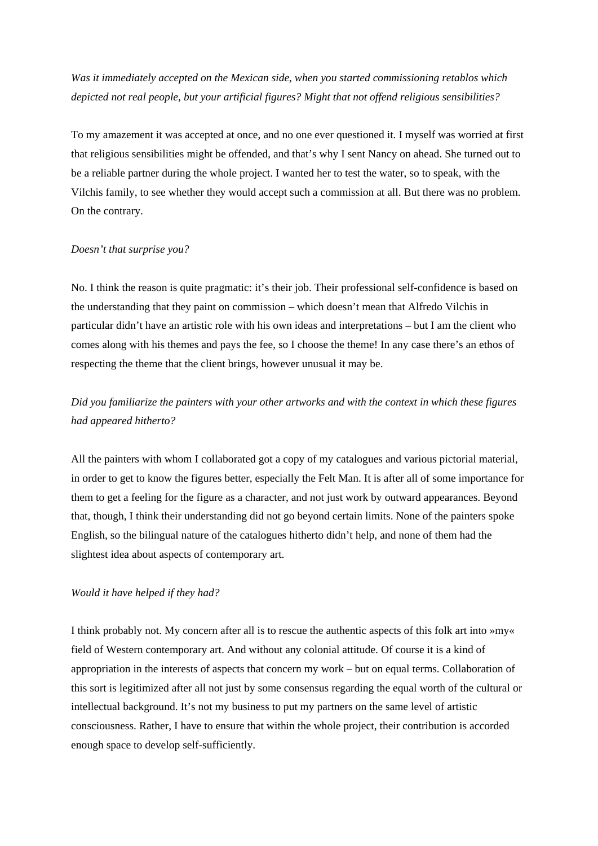*Was it immediately accepted on the Mexican side, when you started commissioning retablos which depicted not real people, but your artificial figures? Might that not offend religious sensibilities?* 

To my amazement it was accepted at once, and no one ever questioned it. I myself was worried at first that religious sensibilities might be offended, and that's why I sent Nancy on ahead. She turned out to be a reliable partner during the whole project. I wanted her to test the water, so to speak, with the Vilchis family, to see whether they would accept such a commission at all. But there was no problem. On the contrary.

### *Doesn't that surprise you?*

No. I think the reason is quite pragmatic: it's their job. Their professional self-confidence is based on the understanding that they paint on commission – which doesn't mean that Alfredo Vilchis in particular didn't have an artistic role with his own ideas and interpretations – but I am the client who comes along with his themes and pays the fee, so I choose the theme! In any case there's an ethos of respecting the theme that the client brings, however unusual it may be.

# *Did you familiarize the painters with your other artworks and with the context in which these figures had appeared hitherto?*

All the painters with whom I collaborated got a copy of my catalogues and various pictorial material, in order to get to know the figures better, especially the Felt Man. It is after all of some importance for them to get a feeling for the figure as a character, and not just work by outward appearances. Beyond that, though, I think their understanding did not go beyond certain limits. None of the painters spoke English, so the bilingual nature of the catalogues hitherto didn't help, and none of them had the slightest idea about aspects of contemporary art.

### *Would it have helped if they had?*

I think probably not. My concern after all is to rescue the authentic aspects of this folk art into »my« field of Western contemporary art. And without any colonial attitude. Of course it is a kind of appropriation in the interests of aspects that concern my work – but on equal terms. Collaboration of this sort is legitimized after all not just by some consensus regarding the equal worth of the cultural or intellectual background. It's not my business to put my partners on the same level of artistic consciousness. Rather, I have to ensure that within the whole project, their contribution is accorded enough space to develop self-sufficiently.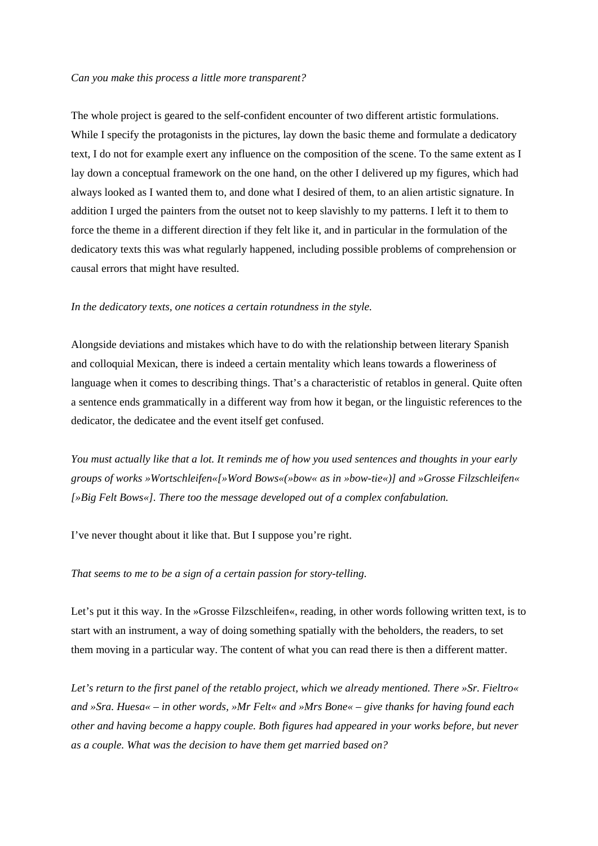### *Can you make this process a little more transparent?*

The whole project is geared to the self-confident encounter of two different artistic formulations. While I specify the protagonists in the pictures, lay down the basic theme and formulate a dedicatory text, I do not for example exert any influence on the composition of the scene. To the same extent as I lay down a conceptual framework on the one hand, on the other I delivered up my figures, which had always looked as I wanted them to, and done what I desired of them, to an alien artistic signature. In addition I urged the painters from the outset not to keep slavishly to my patterns. I left it to them to force the theme in a different direction if they felt like it, and in particular in the formulation of the dedicatory texts this was what regularly happened, including possible problems of comprehension or causal errors that might have resulted.

### *In the dedicatory texts, one notices a certain rotundness in the style.*

Alongside deviations and mistakes which have to do with the relationship between literary Spanish and colloquial Mexican, there is indeed a certain mentality which leans towards a floweriness of language when it comes to describing things. That's a characteristic of retablos in general. Quite often a sentence ends grammatically in a different way from how it began, or the linguistic references to the dedicator, the dedicatee and the event itself get confused.

*You must actually like that a lot. It reminds me of how you used sentences and thoughts in your early groups of works »Wortschleifen«[»Word Bows«(»bow« as in »bow-tie«)] and »Grosse Filzschleifen« [»Big Felt Bows«]. There too the message developed out of a complex confabulation.* 

I've never thought about it like that. But I suppose you're right.

### *That seems to me to be a sign of a certain passion for story-telling.*

Let's put it this way. In the »Grosse Filzschleifen«, reading, in other words following written text, is to start with an instrument, a way of doing something spatially with the beholders, the readers, to set them moving in a particular way. The content of what you can read there is then a different matter.

*Let's return to the first panel of the retablo project, which we already mentioned. There »Sr. Fieltro« and »Sra. Huesa« – in other words, »Mr Felt« and »Mrs Bone« – give thanks for having found each other and having become a happy couple. Both figures had appeared in your works before, but never as a couple. What was the decision to have them get married based on?*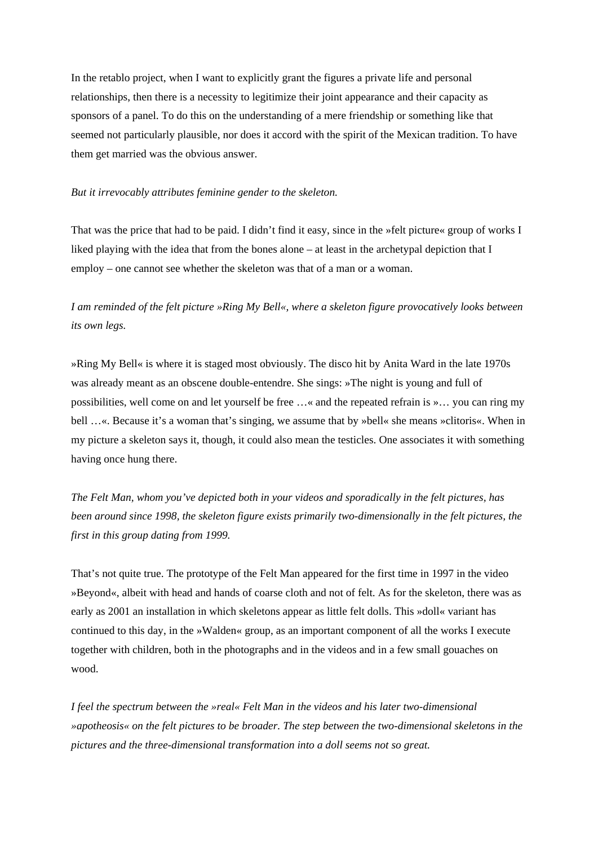In the retablo project, when I want to explicitly grant the figures a private life and personal relationships, then there is a necessity to legitimize their joint appearance and their capacity as sponsors of a panel. To do this on the understanding of a mere friendship or something like that seemed not particularly plausible, nor does it accord with the spirit of the Mexican tradition. To have them get married was the obvious answer.

### *But it irrevocably attributes feminine gender to the skeleton.*

That was the price that had to be paid. I didn't find it easy, since in the »felt picture« group of works I liked playing with the idea that from the bones alone – at least in the archetypal depiction that I employ – one cannot see whether the skeleton was that of a man or a woman.

## *I am reminded of the felt picture »Ring My Bell«, where a skeleton figure provocatively looks between its own legs.*

»Ring My Bell« is where it is staged most obviously. The disco hit by Anita Ward in the late 1970s was already meant as an obscene double-entendre. She sings: »The night is young and full of possibilities, well come on and let yourself be free …« and the repeated refrain is »… you can ring my bell …«. Because it's a woman that's singing, we assume that by »bell« she means »clitoris«. When in my picture a skeleton says it, though, it could also mean the testicles. One associates it with something having once hung there.

*The Felt Man, whom you've depicted both in your videos and sporadically in the felt pictures, has been around since 1998, the skeleton figure exists primarily two-dimensionally in the felt pictures, the first in this group dating from 1999.* 

That's not quite true. The prototype of the Felt Man appeared for the first time in 1997 in the video »Beyond«, albeit with head and hands of coarse cloth and not of felt. As for the skeleton, there was as early as 2001 an installation in which skeletons appear as little felt dolls. This »doll« variant has continued to this day, in the »Walden« group, as an important component of all the works I execute together with children, both in the photographs and in the videos and in a few small gouaches on wood.

*I feel the spectrum between the »real« Felt Man in the videos and his later two-dimensional »apotheosis« on the felt pictures to be broader. The step between the two-dimensional skeletons in the pictures and the three-dimensional transformation into a doll seems not so great.*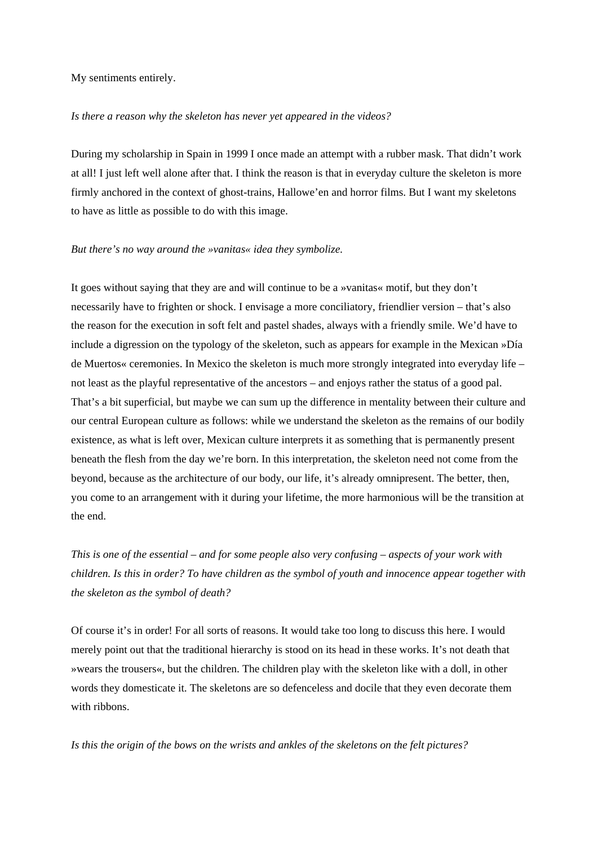My sentiments entirely.

### *Is there a reason why the skeleton has never yet appeared in the videos?*

During my scholarship in Spain in 1999 I once made an attempt with a rubber mask. That didn't work at all! I just left well alone after that. I think the reason is that in everyday culture the skeleton is more firmly anchored in the context of ghost-trains, Hallowe'en and horror films. But I want my skeletons to have as little as possible to do with this image.

### *But there's no way around the »vanitas« idea they symbolize.*

It goes without saying that they are and will continue to be a »vanitas« motif, but they don't necessarily have to frighten or shock. I envisage a more conciliatory, friendlier version – that's also the reason for the execution in soft felt and pastel shades, always with a friendly smile. We'd have to include a digression on the typology of the skeleton, such as appears for example in the Mexican »Día de Muertos« ceremonies. In Mexico the skeleton is much more strongly integrated into everyday life – not least as the playful representative of the ancestors – and enjoys rather the status of a good pal. That's a bit superficial, but maybe we can sum up the difference in mentality between their culture and our central European culture as follows: while we understand the skeleton as the remains of our bodily existence, as what is left over, Mexican culture interprets it as something that is permanently present beneath the flesh from the day we're born. In this interpretation, the skeleton need not come from the beyond, because as the architecture of our body, our life, it's already omnipresent. The better, then, you come to an arrangement with it during your lifetime, the more harmonious will be the transition at the end.

*This is one of the essential – and for some people also very confusing – aspects of your work with children. Is this in order? To have children as the symbol of youth and innocence appear together with the skeleton as the symbol of death?* 

Of course it's in order! For all sorts of reasons. It would take too long to discuss this here. I would merely point out that the traditional hierarchy is stood on its head in these works. It's not death that »wears the trousers«, but the children. The children play with the skeleton like with a doll, in other words they domesticate it. The skeletons are so defenceless and docile that they even decorate them with ribbons.

*Is this the origin of the bows on the wrists and ankles of the skeletons on the felt pictures?*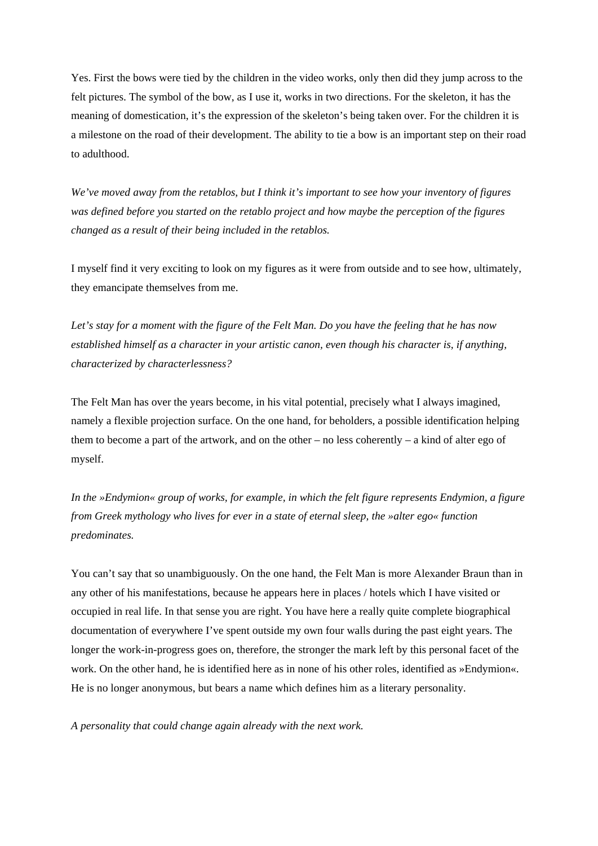Yes. First the bows were tied by the children in the video works, only then did they jump across to the felt pictures. The symbol of the bow, as I use it, works in two directions. For the skeleton, it has the meaning of domestication, it's the expression of the skeleton's being taken over. For the children it is a milestone on the road of their development. The ability to tie a bow is an important step on their road to adulthood.

*We've moved away from the retablos, but I think it's important to see how your inventory of figures was defined before you started on the retablo project and how maybe the perception of the figures changed as a result of their being included in the retablos.* 

I myself find it very exciting to look on my figures as it were from outside and to see how, ultimately, they emancipate themselves from me.

*Let's stay for a moment with the figure of the Felt Man. Do you have the feeling that he has now established himself as a character in your artistic canon, even though his character is, if anything, characterized by characterlessness?* 

The Felt Man has over the years become, in his vital potential, precisely what I always imagined, namely a flexible projection surface. On the one hand, for beholders, a possible identification helping them to become a part of the artwork, and on the other – no less coherently – a kind of alter ego of myself.

*In the »Endymion« group of works, for example, in which the felt figure represents Endymion, a figure from Greek mythology who lives for ever in a state of eternal sleep, the »alter ego« function predominates.* 

You can't say that so unambiguously. On the one hand, the Felt Man is more Alexander Braun than in any other of his manifestations, because he appears here in places / hotels which I have visited or occupied in real life. In that sense you are right. You have here a really quite complete biographical documentation of everywhere I've spent outside my own four walls during the past eight years. The longer the work-in-progress goes on, therefore, the stronger the mark left by this personal facet of the work. On the other hand, he is identified here as in none of his other roles, identified as »Endymion«. He is no longer anonymous, but bears a name which defines him as a literary personality.

*A personality that could change again already with the next work.*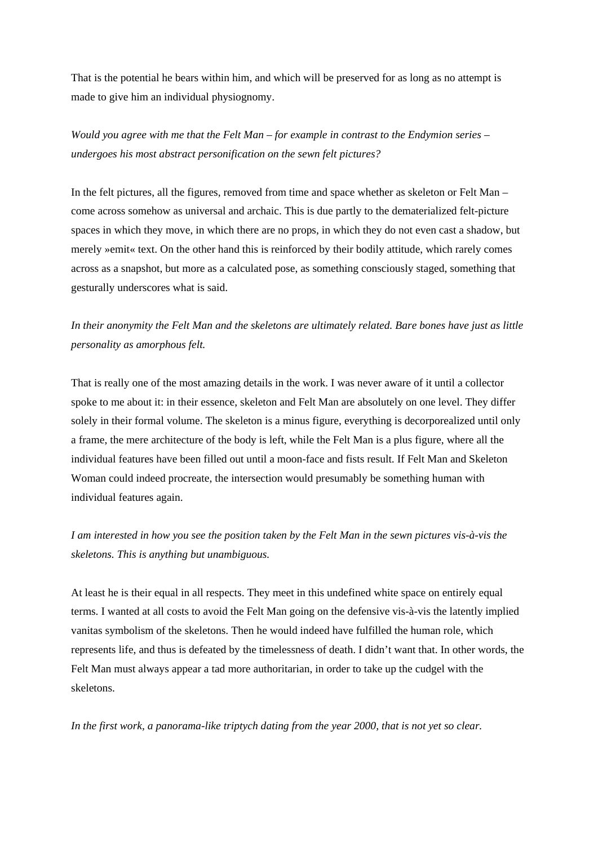That is the potential he bears within him, and which will be preserved for as long as no attempt is made to give him an individual physiognomy.

# *Would you agree with me that the Felt Man – for example in contrast to the Endymion series – undergoes his most abstract personification on the sewn felt pictures?*

In the felt pictures, all the figures, removed from time and space whether as skeleton or Felt Man – come across somehow as universal and archaic. This is due partly to the dematerialized felt-picture spaces in which they move, in which there are no props, in which they do not even cast a shadow, but merely »emit« text. On the other hand this is reinforced by their bodily attitude, which rarely comes across as a snapshot, but more as a calculated pose, as something consciously staged, something that gesturally underscores what is said.

# *In their anonymity the Felt Man and the skeletons are ultimately related. Bare bones have just as little personality as amorphous felt.*

That is really one of the most amazing details in the work. I was never aware of it until a collector spoke to me about it: in their essence, skeleton and Felt Man are absolutely on one level. They differ solely in their formal volume. The skeleton is a minus figure, everything is decorporealized until only a frame, the mere architecture of the body is left, while the Felt Man is a plus figure, where all the individual features have been filled out until a moon-face and fists result. If Felt Man and Skeleton Woman could indeed procreate, the intersection would presumably be something human with individual features again.

# *I am interested in how you see the position taken by the Felt Man in the sewn pictures vis-à-vis the skeletons. This is anything but unambiguous.*

At least he is their equal in all respects. They meet in this undefined white space on entirely equal terms. I wanted at all costs to avoid the Felt Man going on the defensive vis-à-vis the latently implied vanitas symbolism of the skeletons. Then he would indeed have fulfilled the human role, which represents life, and thus is defeated by the timelessness of death. I didn't want that. In other words, the Felt Man must always appear a tad more authoritarian, in order to take up the cudgel with the skeletons.

*In the first work, a panorama-like triptych dating from the year 2000, that is not yet so clear.*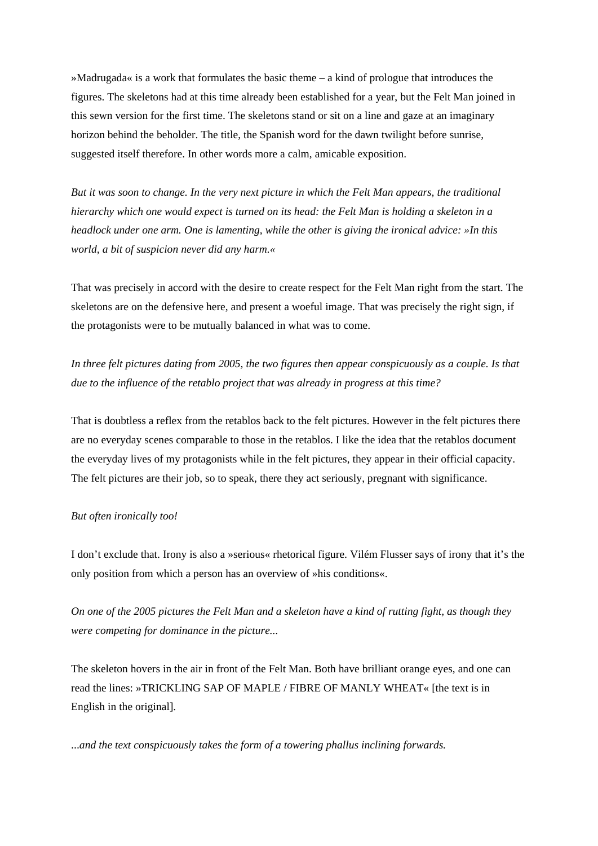»Madrugada« is a work that formulates the basic theme – a kind of prologue that introduces the figures. The skeletons had at this time already been established for a year, but the Felt Man joined in this sewn version for the first time. The skeletons stand or sit on a line and gaze at an imaginary horizon behind the beholder. The title, the Spanish word for the dawn twilight before sunrise, suggested itself therefore. In other words more a calm, amicable exposition.

*But it was soon to change. In the very next picture in which the Felt Man appears, the traditional hierarchy which one would expect is turned on its head: the Felt Man is holding a skeleton in a headlock under one arm. One is lamenting, while the other is giving the ironical advice: »In this world, a bit of suspicion never did any harm.«* 

That was precisely in accord with the desire to create respect for the Felt Man right from the start. The skeletons are on the defensive here, and present a woeful image. That was precisely the right sign, if the protagonists were to be mutually balanced in what was to come.

*In three felt pictures dating from 2005, the two figures then appear conspicuously as a couple. Is that due to the influence of the retablo project that was already in progress at this time?* 

That is doubtless a reflex from the retablos back to the felt pictures. However in the felt pictures there are no everyday scenes comparable to those in the retablos. I like the idea that the retablos document the everyday lives of my protagonists while in the felt pictures, they appear in their official capacity. The felt pictures are their job, so to speak, there they act seriously, pregnant with significance.

## *But often ironically too!*

I don't exclude that. Irony is also a »serious« rhetorical figure. Vilém Flusser says of irony that it's the only position from which a person has an overview of »his conditions«.

*On one of the 2005 pictures the Felt Man and a skeleton have a kind of rutting fight, as though they were competing for dominance in the picture...* 

The skeleton hovers in the air in front of the Felt Man. Both have brilliant orange eyes, and one can read the lines: »TRICKLING SAP OF MAPLE / FIBRE OF MANLY WHEAT« [the text is in English in the original].

...*and the text conspicuously takes the form of a towering phallus inclining forwards.*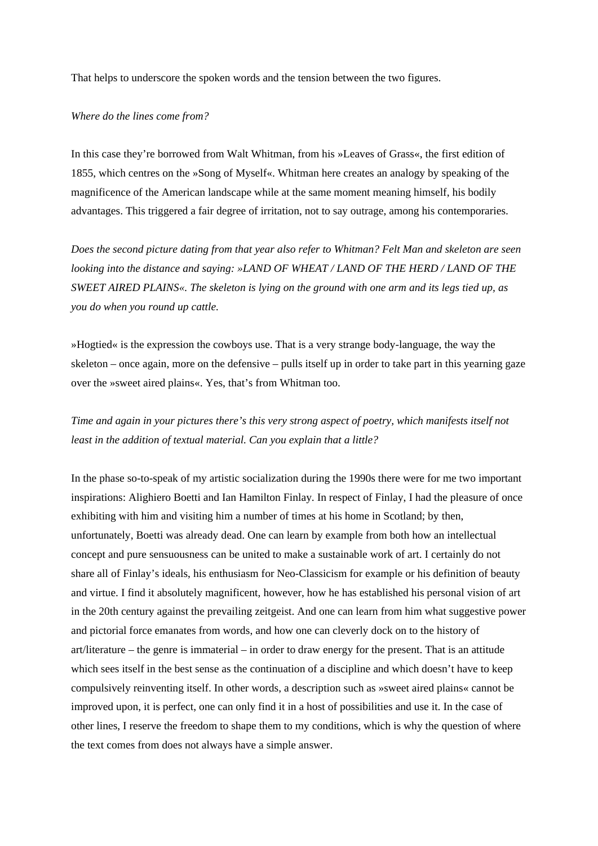That helps to underscore the spoken words and the tension between the two figures.

### *Where do the lines come from?*

In this case they're borrowed from Walt Whitman, from his »Leaves of Grass«, the first edition of 1855, which centres on the »Song of Myself«. Whitman here creates an analogy by speaking of the magnificence of the American landscape while at the same moment meaning himself, his bodily advantages. This triggered a fair degree of irritation, not to say outrage, among his contemporaries.

*Does the second picture dating from that year also refer to Whitman? Felt Man and skeleton are seen looking into the distance and saying: »LAND OF WHEAT / LAND OF THE HERD / LAND OF THE SWEET AIRED PLAINS«. The skeleton is lying on the ground with one arm and its legs tied up, as you do when you round up cattle.* 

»Hogtied« is the expression the cowboys use. That is a very strange body-language, the way the skeleton – once again, more on the defensive – pulls itself up in order to take part in this yearning gaze over the »sweet aired plains«. Yes, that's from Whitman too.

## *Time and again in your pictures there's this very strong aspect of poetry, which manifests itself not least in the addition of textual material. Can you explain that a little?*

In the phase so-to-speak of my artistic socialization during the 1990s there were for me two important inspirations: Alighiero Boetti and Ian Hamilton Finlay. In respect of Finlay, I had the pleasure of once exhibiting with him and visiting him a number of times at his home in Scotland; by then, unfortunately, Boetti was already dead. One can learn by example from both how an intellectual concept and pure sensuousness can be united to make a sustainable work of art. I certainly do not share all of Finlay's ideals, his enthusiasm for Neo-Classicism for example or his definition of beauty and virtue. I find it absolutely magnificent, however, how he has established his personal vision of art in the 20th century against the prevailing zeitgeist. And one can learn from him what suggestive power and pictorial force emanates from words, and how one can cleverly dock on to the history of art/literature – the genre is immaterial – in order to draw energy for the present. That is an attitude which sees itself in the best sense as the continuation of a discipline and which doesn't have to keep compulsively reinventing itself. In other words, a description such as »sweet aired plains« cannot be improved upon, it is perfect, one can only find it in a host of possibilities and use it. In the case of other lines, I reserve the freedom to shape them to my conditions, which is why the question of where the text comes from does not always have a simple answer.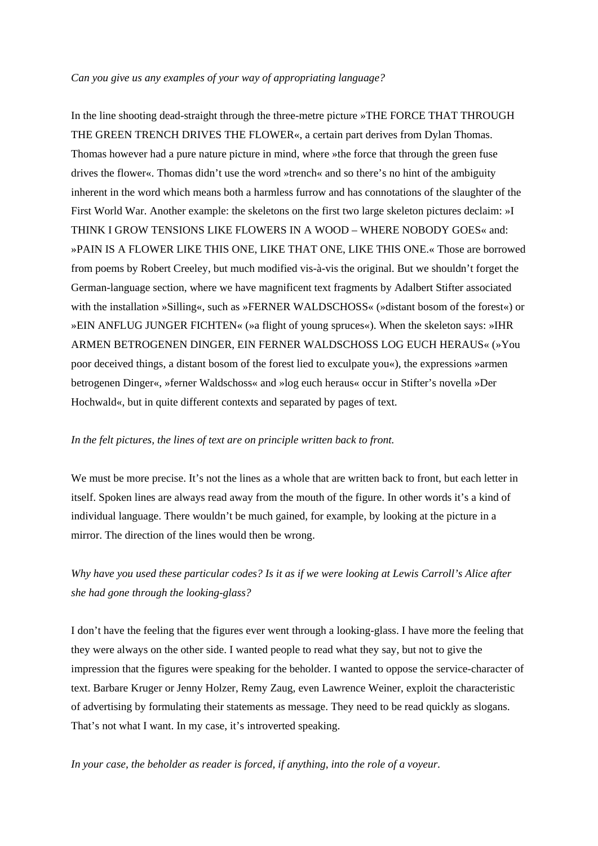### *Can you give us any examples of your way of appropriating language?*

In the line shooting dead-straight through the three-metre picture »THE FORCE THAT THROUGH THE GREEN TRENCH DRIVES THE FLOWER«, a certain part derives from Dylan Thomas. Thomas however had a pure nature picture in mind, where »the force that through the green fuse drives the flower«. Thomas didn't use the word »trench« and so there's no hint of the ambiguity inherent in the word which means both a harmless furrow and has connotations of the slaughter of the First World War. Another example: the skeletons on the first two large skeleton pictures declaim: »I THINK I GROW TENSIONS LIKE FLOWERS IN A WOOD – WHERE NOBODY GOES« and: »PAIN IS A FLOWER LIKE THIS ONE, LIKE THAT ONE, LIKE THIS ONE.« Those are borrowed from poems by Robert Creeley, but much modified vis-à-vis the original. But we shouldn't forget the German-language section, where we have magnificent text fragments by Adalbert Stifter associated with the installation »Silling«, such as »FERNER WALDSCHOSS« (»distant bosom of the forest«) or »EIN ANFLUG JUNGER FICHTEN« (»a flight of young spruces«). When the skeleton says: »IHR ARMEN BETROGENEN DINGER, EIN FERNER WALDSCHOSS LOG EUCH HERAUS« (»You poor deceived things, a distant bosom of the forest lied to exculpate you«), the expressions »armen betrogenen Dinger«, »ferner Waldschoss« and »log euch heraus« occur in Stifter's novella »Der Hochwald«, but in quite different contexts and separated by pages of text.

### *In the felt pictures, the lines of text are on principle written back to front.*

We must be more precise. It's not the lines as a whole that are written back to front, but each letter in itself. Spoken lines are always read away from the mouth of the figure. In other words it's a kind of individual language. There wouldn't be much gained, for example, by looking at the picture in a mirror. The direction of the lines would then be wrong.

# *Why have you used these particular codes? Is it as if we were looking at Lewis Carroll's Alice after she had gone through the looking-glass?*

I don't have the feeling that the figures ever went through a looking-glass. I have more the feeling that they were always on the other side. I wanted people to read what they say, but not to give the impression that the figures were speaking for the beholder. I wanted to oppose the service-character of text. Barbare Kruger or Jenny Holzer, Remy Zaug, even Lawrence Weiner, exploit the characteristic of advertising by formulating their statements as message. They need to be read quickly as slogans. That's not what I want. In my case, it's introverted speaking.

*In your case, the beholder as reader is forced, if anything, into the role of a voyeur.*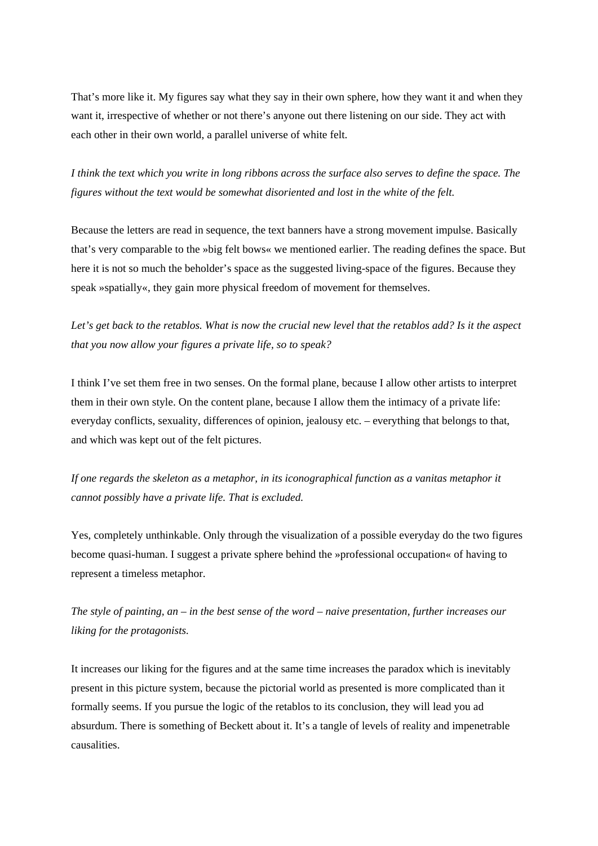That's more like it. My figures say what they say in their own sphere, how they want it and when they want it, irrespective of whether or not there's anyone out there listening on our side. They act with each other in their own world, a parallel universe of white felt.

*I think the text which you write in long ribbons across the surface also serves to define the space. The figures without the text would be somewhat disoriented and lost in the white of the felt.*

Because the letters are read in sequence, the text banners have a strong movement impulse. Basically that's very comparable to the »big felt bows« we mentioned earlier. The reading defines the space. But here it is not so much the beholder's space as the suggested living-space of the figures. Because they speak »spatially«, they gain more physical freedom of movement for themselves.

*Let's get back to the retablos. What is now the crucial new level that the retablos add? Is it the aspect that you now allow your figures a private life, so to speak?* 

I think I've set them free in two senses. On the formal plane, because I allow other artists to interpret them in their own style. On the content plane, because I allow them the intimacy of a private life: everyday conflicts, sexuality, differences of opinion, jealousy etc. – everything that belongs to that, and which was kept out of the felt pictures.

*If one regards the skeleton as a metaphor, in its iconographical function as a vanitas metaphor it cannot possibly have a private life. That is excluded.*

Yes, completely unthinkable. Only through the visualization of a possible everyday do the two figures become quasi-human. I suggest a private sphere behind the »professional occupation« of having to represent a timeless metaphor.

*The style of painting, an – in the best sense of the word – naive presentation, further increases our liking for the protagonists.*

It increases our liking for the figures and at the same time increases the paradox which is inevitably present in this picture system, because the pictorial world as presented is more complicated than it formally seems. If you pursue the logic of the retablos to its conclusion, they will lead you ad absurdum. There is something of Beckett about it. It's a tangle of levels of reality and impenetrable causalities.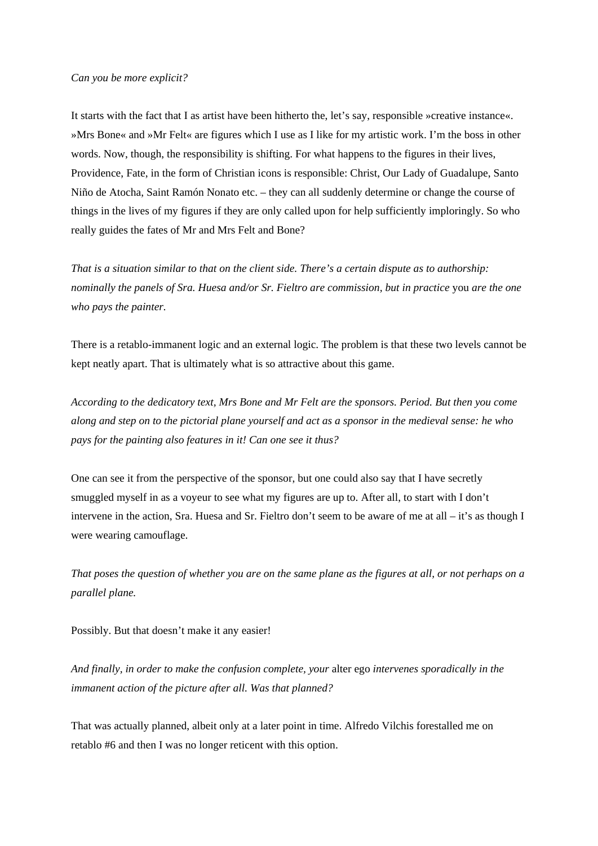#### *Can you be more explicit?*

It starts with the fact that I as artist have been hitherto the, let's say, responsible »creative instance«. »Mrs Bone« and »Mr Felt« are figures which I use as I like for my artistic work. I'm the boss in other words. Now, though, the responsibility is shifting. For what happens to the figures in their lives, Providence, Fate, in the form of Christian icons is responsible: Christ, Our Lady of Guadalupe, Santo Niño de Atocha, Saint Ramón Nonato etc. – they can all suddenly determine or change the course of things in the lives of my figures if they are only called upon for help sufficiently imploringly. So who really guides the fates of Mr and Mrs Felt and Bone?

*That is a situation similar to that on the client side. There's a certain dispute as to authorship: nominally the panels of Sra. Huesa and/or Sr. Fieltro are commission, but in practice* you *are the one who pays the painter.* 

There is a retablo-immanent logic and an external logic. The problem is that these two levels cannot be kept neatly apart. That is ultimately what is so attractive about this game.

*According to the dedicatory text, Mrs Bone and Mr Felt are the sponsors. Period. But then you come along and step on to the pictorial plane yourself and act as a sponsor in the medieval sense: he who pays for the painting also features in it! Can one see it thus?* 

One can see it from the perspective of the sponsor, but one could also say that I have secretly smuggled myself in as a voyeur to see what my figures are up to. After all, to start with I don't intervene in the action, Sra. Huesa and Sr. Fieltro don't seem to be aware of me at all – it's as though I were wearing camouflage.

*That poses the question of whether you are on the same plane as the figures at all, or not perhaps on a parallel plane.* 

Possibly. But that doesn't make it any easier!

*And finally, in order to make the confusion complete, your* alter ego *intervenes sporadically in the immanent action of the picture after all. Was that planned?* 

That was actually planned, albeit only at a later point in time. Alfredo Vilchis forestalled me on retablo #6 and then I was no longer reticent with this option.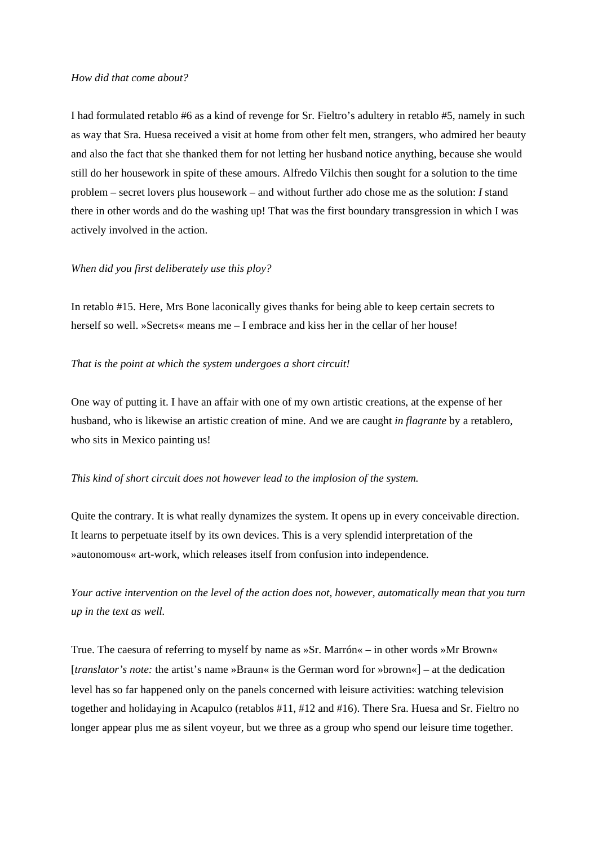### *How did that come about?*

I had formulated retablo #6 as a kind of revenge for Sr. Fieltro's adultery in retablo #5, namely in such as way that Sra. Huesa received a visit at home from other felt men, strangers, who admired her beauty and also the fact that she thanked them for not letting her husband notice anything, because she would still do her housework in spite of these amours. Alfredo Vilchis then sought for a solution to the time problem – secret lovers plus housework – and without further ado chose me as the solution: *I* stand there in other words and do the washing up! That was the first boundary transgression in which I was actively involved in the action.

### *When did you first deliberately use this ploy?*

In retablo #15. Here, Mrs Bone laconically gives thanks for being able to keep certain secrets to herself so well. »Secrets« means me – I embrace and kiss her in the cellar of her house!

### *That is the point at which the system undergoes a short circuit!*

One way of putting it. I have an affair with one of my own artistic creations, at the expense of her husband, who is likewise an artistic creation of mine. And we are caught *in flagrante* by a retablero, who sits in Mexico painting us!

### *This kind of short circuit does not however lead to the implosion of the system.*

Quite the contrary. It is what really dynamizes the system. It opens up in every conceivable direction. It learns to perpetuate itself by its own devices. This is a very splendid interpretation of the »autonomous« art-work, which releases itself from confusion into independence.

*Your active intervention on the level of the action does not, however, automatically mean that you turn up in the text as well.* 

True. The caesura of referring to myself by name as »Sr. Marrón« – in other words »Mr Brown« [*translator's note:* the artist's name »Braun« is the German word for »brown«] – at the dedication level has so far happened only on the panels concerned with leisure activities: watching television together and holidaying in Acapulco (retablos #11, #12 and #16). There Sra. Huesa and Sr. Fieltro no longer appear plus me as silent voyeur, but we three as a group who spend our leisure time together.